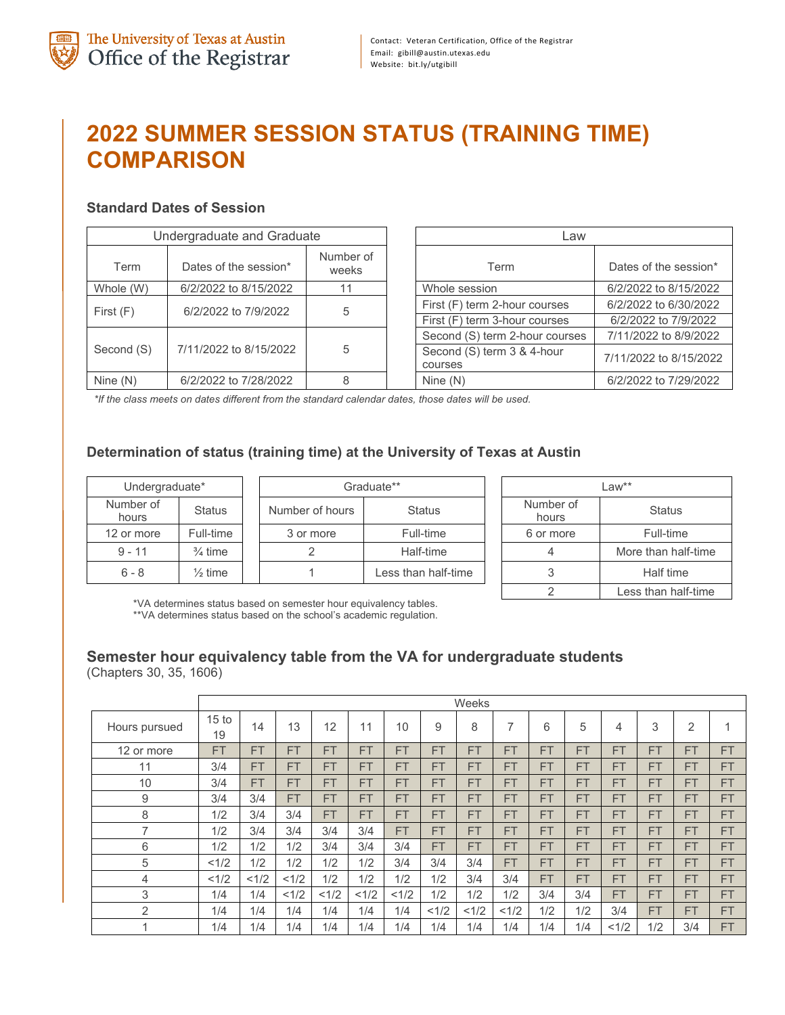# **2022 SUMMER SESSION STATUS (TRAINING TIME) COMPARISON**

## **Standard Dates of Session**

|            | Undergraduate and Graduate | _aw                |                                                                |
|------------|----------------------------|--------------------|----------------------------------------------------------------|
| Term       | Dates of the session*      | Number of<br>weeks | Term                                                           |
| Whole (W)  | 6/2/2022 to 8/15/2022      |                    | Whole session                                                  |
| First(F)   | 6/2/2022 to 7/9/2022       | 5                  | First (F) term 2-hour courses<br>First (F) term 3-hour courses |
|            |                            |                    | Second (S) term 2-hour courses                                 |
| Second (S) | 7/11/2022 to 8/15/2022     | 5                  | Second (S) term 3 & 4-hour<br>courses                          |
| Nine $(N)$ | 6/2/2022 to 7/28/2022      |                    | Nine $(N)$                                                     |

|            | Undergraduate and Graduate |                    |  | Law                                   |                        |  |  |  |
|------------|----------------------------|--------------------|--|---------------------------------------|------------------------|--|--|--|
| Term       | Dates of the session*      | Number of<br>weeks |  | Term                                  | Dates of the session*  |  |  |  |
| Whole (W)  | 6/2/2022 to 8/15/2022      | 11                 |  | Whole session                         | 6/2/2022 to 8/15/2022  |  |  |  |
| First (F)  | 6/2/2022 to 7/9/2022       | 5                  |  | First (F) term 2-hour courses         | 6/2/2022 to 6/30/2022  |  |  |  |
|            |                            |                    |  | First (F) term 3-hour courses         | 6/2/2022 to 7/9/2022   |  |  |  |
|            |                            |                    |  | Second (S) term 2-hour courses        | 7/11/2022 to 8/9/2022  |  |  |  |
| Second (S) | 7/11/2022 to 8/15/2022     | 5                  |  | Second (S) term 3 & 4-hour<br>courses | 7/11/2022 to 8/15/2022 |  |  |  |
| Nine (N)   | 6/2/2022 to 7/28/2022      |                    |  | Nine $(N)$                            | 6/2/2022 to 7/29/2022  |  |  |  |

*\*If the class meets on dates different from the standard calendar dates, those dates will be used.*

## **Determination of status (training time) at the University of Texas at Austin**

| Undergraduate*     |                    |                 | Graduate**          | Law**              |                     |  |
|--------------------|--------------------|-----------------|---------------------|--------------------|---------------------|--|
| Number of<br>hours | <b>Status</b>      | Number of hours | <b>Status</b>       | Number of<br>hours | <b>Status</b>       |  |
| 12 or more         | Full-time          | 3 or more       | Full-time           | 6 or more          | Full-time           |  |
| $9 - 11$           | $\frac{3}{4}$ time |                 | Half-time           |                    | More than half-time |  |
| $6 - 8$            | $\frac{1}{2}$ time |                 | Less than half-time |                    | Half time           |  |

| $l$ aw**           |                     |  |  |  |  |  |
|--------------------|---------------------|--|--|--|--|--|
| Number of<br>hours | Status              |  |  |  |  |  |
| 6 or more          | Full-time           |  |  |  |  |  |
|                    | More than half-time |  |  |  |  |  |
| 3                  | Half time           |  |  |  |  |  |
|                    | Less than half-time |  |  |  |  |  |

\*VA determines status based on semester hour equivalency tables. \*\*VA determines status based on the school's academic regulation.

#### **Semester hour equivalency table from the VA for undergraduate students** (Chapters 30, 35, 1606)

|                | Weeks                  |           |           |           |           |           |           |           |           |           |           |           |           |           |           |
|----------------|------------------------|-----------|-----------|-----------|-----------|-----------|-----------|-----------|-----------|-----------|-----------|-----------|-----------|-----------|-----------|
| Hours pursued  | 15 <sub>to</sub><br>19 | 14        | 13        | 12        | 11        | 10        | 9         | 8         | ⇁         | 6         | 5         | 4         | 3         | 2         | A         |
| 12 or more     | <b>FT</b>              | <b>FT</b> | <b>FT</b> | <b>FT</b> | <b>FT</b> | <b>FT</b> | <b>FT</b> | <b>FT</b> | <b>FT</b> | <b>FT</b> | <b>FT</b> | <b>FT</b> | <b>FT</b> | <b>FT</b> | <b>FT</b> |
| 11             | 3/4                    | <b>FT</b> | <b>FT</b> | <b>FT</b> | <b>FT</b> | <b>FT</b> | <b>FT</b> | <b>FT</b> | <b>FT</b> | <b>FT</b> | <b>FT</b> | <b>FT</b> | <b>FT</b> | <b>FT</b> | <b>FT</b> |
| 10             | 3/4                    | <b>FT</b> | <b>FT</b> | <b>FT</b> | <b>FT</b> | <b>FT</b> | <b>FT</b> | <b>FT</b> | <b>FT</b> | <b>FT</b> | <b>FT</b> | <b>FT</b> | <b>FT</b> | <b>FT</b> | <b>FT</b> |
| 9              | 3/4                    | 3/4       | <b>FT</b> | <b>FT</b> | <b>FT</b> | <b>FT</b> | <b>FT</b> | <b>FT</b> | <b>FT</b> | <b>FT</b> | <b>FT</b> | <b>FT</b> | <b>FT</b> | <b>FT</b> | <b>FT</b> |
| 8              | 1/2                    | 3/4       | 3/4       | <b>FT</b> | <b>FT</b> | <b>FT</b> | <b>FT</b> | <b>FT</b> | <b>FT</b> | <b>FT</b> | <b>FT</b> | <b>FT</b> | <b>FT</b> | <b>FT</b> | <b>FT</b> |
| 7              | 1/2                    | 3/4       | 3/4       | 3/4       | 3/4       | <b>FT</b> | <b>FT</b> | <b>FT</b> | <b>FT</b> | <b>FT</b> | <b>FT</b> | <b>FT</b> | <b>FT</b> | <b>FT</b> | <b>FT</b> |
| 6              | 1/2                    | 1/2       | 1/2       | 3/4       | 3/4       | 3/4       | <b>FT</b> | <b>FT</b> | <b>FT</b> | <b>FT</b> | <b>FT</b> | <b>FT</b> | <b>FT</b> | <b>FT</b> | <b>FT</b> |
| 5              | <1/2                   | 1/2       | 1/2       | 1/2       | 1/2       | 3/4       | 3/4       | 3/4       | <b>FT</b> | <b>FT</b> | <b>FT</b> | <b>FT</b> | <b>FT</b> | <b>FT</b> | <b>FT</b> |
| 4              | <1/2                   | < 1/2     | <1/2      | 1/2       | 1/2       | 1/2       | 1/2       | 3/4       | 3/4       | <b>FT</b> | <b>FT</b> | <b>FT</b> | <b>FT</b> | <b>FT</b> | <b>FT</b> |
| 3              | 1/4                    | 1/4       | <1/2      | <1/2      | <1/2      | <1/2      | 1/2       | 1/2       | 1/2       | 3/4       | 3/4       | <b>FT</b> | <b>FT</b> | <b>FT</b> | <b>FT</b> |
| $\overline{2}$ | 1/4                    | 1/4       | 1/4       | 1/4       | 1/4       | 1/4       | < 1/2     | <1/2      | <1/2      | 1/2       | 1/2       | 3/4       | <b>FT</b> | <b>FT</b> | <b>FT</b> |
| 4              | 1/4                    | 1/4       | 1/4       | 1/4       | 1/4       | 1/4       | 1/4       | 1/4       | 1/4       | 1/4       | 1/4       | <1/2      | 1/2       | 3/4       | <b>FT</b> |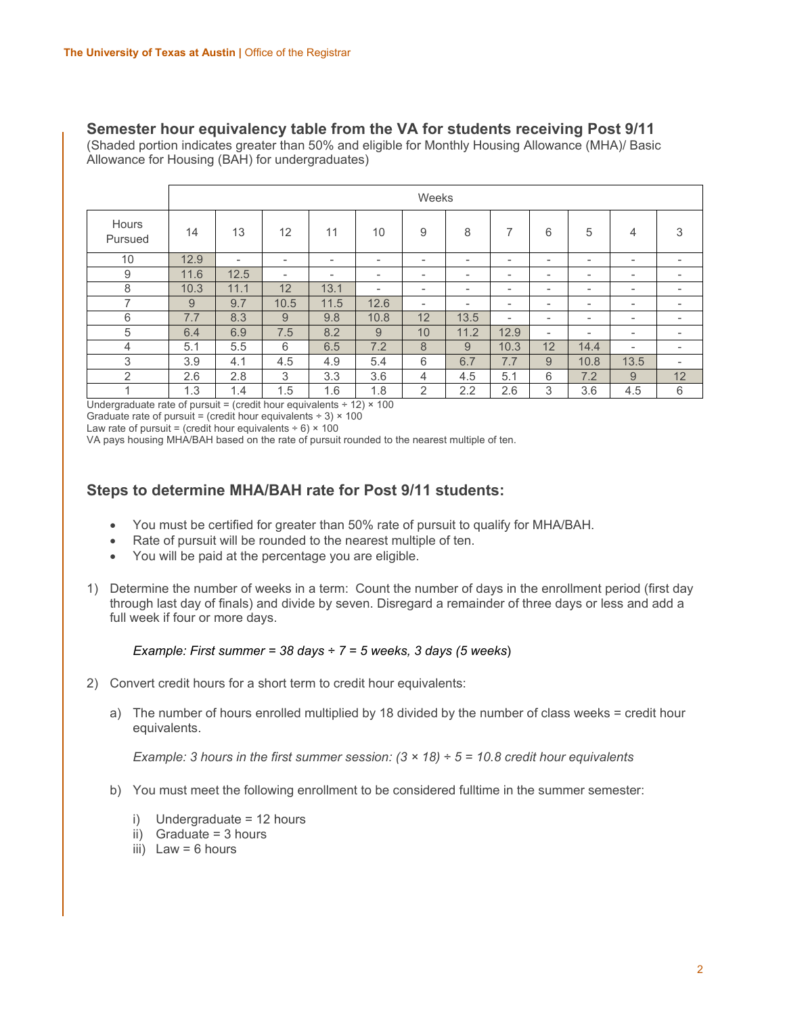### **Semester hour equivalency table from the VA for students receiving Post 9/11**

(Shaded portion indicates greater than 50% and eligible for Monthly Housing Allowance (MHA)/ Basic Allowance for Housing (BAH) for undergraduates)

|                                 | Weeks |                          |                          |                          |                             |                          |                          |                          |                          |                          |                          |                          |
|---------------------------------|-------|--------------------------|--------------------------|--------------------------|-----------------------------|--------------------------|--------------------------|--------------------------|--------------------------|--------------------------|--------------------------|--------------------------|
| Hours<br>Pursued                | 14    | 13                       | 12                       | 11                       | 10                          | 9                        | 8                        | $\overline{ }$           | 6                        | 5                        | 4                        | 3                        |
| 10                              | 12.9  | $\overline{\phantom{a}}$ | $\overline{\phantom{0}}$ | $\overline{\phantom{a}}$ | $\overline{\phantom{a}}$    | $\overline{\phantom{a}}$ | $\overline{\phantom{a}}$ | $\overline{\phantom{a}}$ | ۰                        | $\overline{\phantom{a}}$ | -                        | $\overline{\phantom{a}}$ |
| 9                               | 11.6  | 12.5                     | -                        | $\overline{\phantom{0}}$ | $\overline{\phantom{a}}$    | $\overline{\phantom{0}}$ | $\overline{\phantom{a}}$ | $\overline{\phantom{a}}$ | $\overline{\phantom{0}}$ | $\overline{\phantom{a}}$ | -                        | $\overline{\phantom{a}}$ |
| 8                               | 10.3  | 11.1                     | 12                       | 13.1                     | $\overline{\phantom{a}}$    | $\overline{\phantom{a}}$ | $\overline{\phantom{a}}$ | $\overline{\phantom{a}}$ | $\overline{\phantom{0}}$ | $\overline{\phantom{a}}$ | -                        | $\overline{\phantom{a}}$ |
| $\overline{ }$                  | 9     | 9.7                      | 10.5                     | 11.5                     | 12.6                        | $\overline{\phantom{0}}$ | $\overline{\phantom{a}}$ | $\overline{\phantom{a}}$ | $\overline{\phantom{0}}$ | $\overline{\phantom{a}}$ | -                        | $\overline{\phantom{a}}$ |
| 6                               | 7.7   | 8.3                      | 9                        | 9.8                      | 10.8                        | 12                       | 13.5                     | $\overline{\phantom{a}}$ | $\overline{\phantom{a}}$ | $\overline{\phantom{a}}$ | $\overline{\phantom{a}}$ | $\overline{\phantom{a}}$ |
| 5                               | 6.4   | 6.9                      | 7.5                      | 8.2                      | 9                           | 10                       | 11.2                     | 12.9                     | -                        | $\overline{\phantom{a}}$ | -                        | $\overline{\phantom{a}}$ |
| 4                               | 5.1   | 5.5                      | 6                        | 6.5                      | 7.2                         | 8                        | 9                        | 10.3                     | 12                       | 14.4                     | $\overline{\phantom{0}}$ | $\overline{\phantom{a}}$ |
| 3                               | 3.9   | 4.1                      | 4.5                      | 4.9                      | 5.4                         | 6                        | 6.7                      | 7.7                      | 9                        | 10.8                     | 13.5                     | $\overline{\phantom{a}}$ |
| 2                               | 2.6   | 2.8                      | 3                        | 3.3                      | 3.6                         | 4                        | 4.5                      | 5.1                      | 6                        | 7.2                      | 9                        | 12                       |
| $\cdot$ $\cdot$ $\cdot$ $\cdot$ | 1.3   | 1.4<br>$\cdots$          | 1.5                      | 1.6                      | 1.8<br>$\sim$ $\sim$ $\sim$ | 2                        | 2.2                      | $2.6\,$                  | 3                        | 3.6                      | 4.5                      | 6                        |

Undergraduate rate of pursuit = (credit hour equivalents  $\div$  12)  $\times$  100 Graduate rate of pursuit = (credit hour equivalents  $\div$  3)  $\times$  100

Law rate of pursuit = (credit hour equivalents  $\div$  6)  $\times$  100

VA pays housing MHA/BAH based on the rate of pursuit rounded to the nearest multiple of ten.

## **Steps to determine MHA/BAH rate for Post 9/11 students:**

- You must be certified for greater than 50% rate of pursuit to qualify for MHA/BAH.
- Rate of pursuit will be rounded to the nearest multiple of ten.
- You will be paid at the percentage you are eligible.
- 1) Determine the number of weeks in a term: Count the number of days in the enrollment period (first day through last day of finals) and divide by seven. Disregard a remainder of three days or less and add a full week if four or more days.

#### *Example: First summer = 38 days ÷ 7 = 5 weeks, 3 days (5 weeks*)

- 2) Convert credit hours for a short term to credit hour equivalents:
	- a) The number of hours enrolled multiplied by 18 divided by the number of class weeks = credit hour equivalents.

*Example: 3 hours in the first summer session: (3 × 18) ÷ 5 = 10.8 credit hour equivalents*

- b) You must meet the following enrollment to be considered fulltime in the summer semester:
	- i) Undergraduate = 12 hours
	- ii) Graduate = 3 hours
	- iii) Law  $= 6$  hours